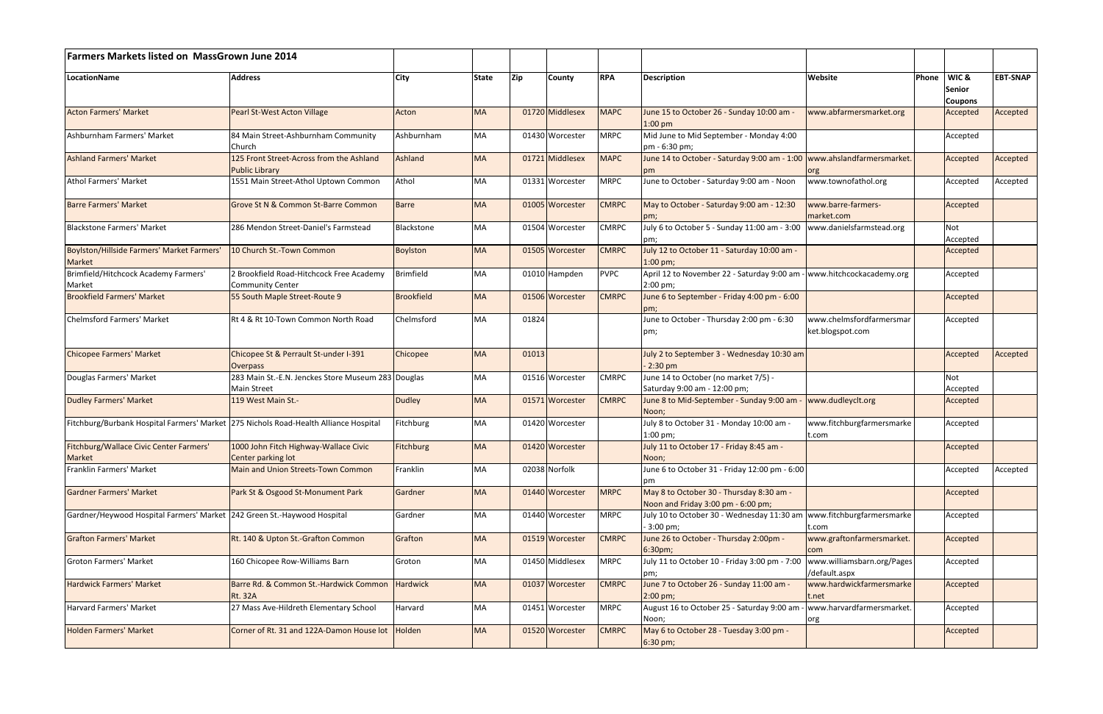| <b>Farmers Markets listed on MassGrown June 2014</b>                                 |                                                                     |                   |              |       |                 |              |                                                                                            |                                              |       |                                                    |                 |
|--------------------------------------------------------------------------------------|---------------------------------------------------------------------|-------------------|--------------|-------|-----------------|--------------|--------------------------------------------------------------------------------------------|----------------------------------------------|-------|----------------------------------------------------|-----------------|
| LocationName                                                                         | <b>Address</b>                                                      | City              | <b>State</b> | Zip   | <b>County</b>   | <b>RPA</b>   | <b>Description</b>                                                                         | Website                                      | Phone | <b>WIC&amp;</b><br><b>Senior</b><br><b>Coupons</b> | <b>EBT-SNAP</b> |
| <b>Acton Farmers' Market</b>                                                         | Pearl St-West Acton Village                                         | Acton             | <b>MA</b>    |       | 01720 Middlesex | <b>MAPC</b>  | June 15 to October 26 - Sunday 10:00 am -<br>$1:00$ pm                                     | www.abfarmersmarket.org                      |       | Accepted                                           | Accepted        |
| Ashburnham Farmers' Market                                                           | 84 Main Street-Ashburnham Community<br>Church                       | Ashburnham        | <b>MA</b>    |       | 01430 Worcester | <b>MRPC</b>  | Mid June to Mid September - Monday 4:00<br>pm - 6:30 pm;                                   |                                              |       | Accepted                                           |                 |
| <b>Ashland Farmers' Market</b>                                                       | 125 Front Street-Across from the Ashland<br><b>Public Library</b>   | Ashland           | <b>MA</b>    |       | 01721 Middlesex | <b>MAPC</b>  | June 14 to October - Saturday 9:00 am - 1:00   www.ahslandfarmersmarket.                   |                                              |       | Accepted                                           | Accepted        |
| <b>Athol Farmers' Market</b>                                                         | 1551 Main Street-Athol Uptown Common                                | Athol             | MA           |       | 01331 Worcester | <b>MRPC</b>  | June to October - Saturday 9:00 am - Noon                                                  | www.townofathol.org                          |       | Accepted                                           | Accepted        |
| <b>Barre Farmers' Market</b>                                                         | Grove St N & Common St-Barre Common                                 | <b>Barre</b>      | <b>MA</b>    |       | 01005 Worcester | <b>CMRPC</b> | May to October - Saturday 9:00 am - 12:30                                                  | www.barre-farmers-<br>market.com             |       | Accepted                                           |                 |
| <b>Blackstone Farmers' Market</b>                                                    | 286 Mendon Street-Daniel's Farmstead                                | Blackstone        | MA           |       | 01504 Worcester | <b>CMRPC</b> | July 6 to October 5 - Sunday 11:00 am - 3:00   www.danielsfarmstead.org                    |                                              |       | Not<br>Accepted                                    |                 |
| Boylston/Hillside Farmers' Market Farmers'<br>Market                                 | 10 Church St.-Town Common                                           | <b>Boylston</b>   | <b>MA</b>    |       | 01505 Worcester | <b>CMRPC</b> | July 12 to October 11 - Saturday 10:00 am -<br>$1:00 \text{ pm}$                           |                                              |       | Accepted                                           |                 |
| Brimfield/Hitchcock Academy Farmers'<br>Market                                       | 2 Brookfield Road-Hitchcock Free Academy<br><b>Community Center</b> | <b>Brimfield</b>  | MA           |       | 01010 Hampden   | <b>PVPC</b>  | April 12 to November 22 - Saturday 9:00 am - www.hitchcockacademy.org<br>2:00 pm;          |                                              |       | Accepted                                           |                 |
| <b>Brookfield Farmers' Market</b>                                                    | 55 South Maple Street-Route 9                                       | <b>Brookfield</b> | <b>MA</b>    |       | 01506 Worcester | <b>CMRPC</b> | June 6 to September - Friday 4:00 pm - 6:00<br>om;                                         |                                              |       | Accepted                                           |                 |
| <b>Chelmsford Farmers' Market</b>                                                    | Rt 4 & Rt 10-Town Common North Road                                 | Chelmsford        | MA           | 01824 |                 |              | June to October - Thursday 2:00 pm - 6:30<br>pm;                                           | www.chelmsfordfarmersmar<br>ket.blogspot.com |       | Accepted                                           |                 |
| <b>Chicopee Farmers' Market</b>                                                      | Chicopee St & Perrault St-under I-391<br>Overpass                   | Chicopee          | <b>MA</b>    | 01013 |                 |              | July 2 to September 3 - Wednesday 10:30 am<br>$-2:30$ pm                                   |                                              |       | Accepted                                           | Accepted        |
| Douglas Farmers' Market                                                              | 283 Main St.-E.N. Jenckes Store Museum 283 Douglas<br>Main Street   |                   | МA           |       | 01516 Worcester | <b>CMRPC</b> | June 14 to October (no market 7/5) -<br>Saturday 9:00 am - 12:00 pm;                       |                                              |       | <b>Not</b><br>Accepted                             |                 |
| <b>Dudley Farmers' Market</b>                                                        | 119 West Main St.-                                                  | <b>Dudley</b>     | <b>MA</b>    |       | 01571 Worcester | <b>CMRPC</b> | June 8 to Mid-September - Sunday 9:00 am<br>Noon;                                          | www.dudleyclt.org                            |       | Accepted                                           |                 |
| Fitchburg/Burbank Hospital Farmers' Market 275 Nichols Road-Health Alliance Hospital |                                                                     | Fitchburg         | MA           |       | 01420 Worcester |              | July 8 to October 31 - Monday 10:00 am -<br>1:00 pm;                                       | www.fitchburgfarmersmarke<br>.com            |       | Accepted                                           |                 |
| Fitchburg/Wallace Civic Center Farmers'<br><b>Market</b>                             | 1000 John Fitch Highway-Wallace Civic<br>Center parking lot         | <b>Fitchburg</b>  | <b>MA</b>    |       | 01420 Worcester |              | July 11 to October 17 - Friday 8:45 am -<br>Noon;                                          |                                              |       | Accepted                                           |                 |
| Franklin Farmers' Market                                                             | Main and Union Streets-Town Common                                  | Franklin          | MA           |       | 02038 Norfolk   |              | lune 6 to October 31 - Friday 12:00 pm - 6:00                                              |                                              |       | Accepted                                           | Accepted        |
| <b>Gardner Farmers' Market</b>                                                       | Park St & Osgood St-Monument Park                                   | Gardner           | <b>MA</b>    |       | 01440 Worcester | <b>MRPC</b>  | May 8 to October 30 - Thursday 8:30 am -<br>Noon and Friday 3:00 pm - 6:00 pm;             |                                              |       | Accepted                                           |                 |
| Gardner/Heywood Hospital Farmers' Market 242 Green St.-Haywood Hospital              |                                                                     | Gardner           | MA           |       | 01440 Worcester | <b>MRPC</b>  | July 10 to October 30 - Wednesday 11:30 am www.fitchburgfarmersmarke<br>$-3:00 \text{ pm}$ | t.com                                        |       | Accepted                                           |                 |
| <b>Grafton Farmers' Market</b>                                                       | Rt. 140 & Upton St.-Grafton Common                                  | Grafton           | <b>MA</b>    |       | 01519 Worcester | <b>CMRPC</b> | June 26 to October - Thursday 2:00pm -<br>6:30pm;                                          | www.graftonfarmersmarket.<br>com             |       | Accepted                                           |                 |
| <b>Groton Farmers' Market</b>                                                        | 160 Chicopee Row-Williams Barn                                      | Groton            | MA           |       | 01450 Middlesex | <b>MRPC</b>  | July 11 to October 10 - Friday 3:00 pm - 7:00<br>pm;                                       | www.williamsbarn.org/Pages<br>/default.aspx  |       | Accepted                                           |                 |
| <b>Hardwick Farmers' Market</b>                                                      | Barre Rd. & Common St.-Hardwick Common<br><b>Rt. 32A</b>            | <b>Hardwick</b>   | <b>MA</b>    |       | 01037 Worcester | <b>CMRPC</b> | June 7 to October 26 - Sunday 11:00 am -<br>$2:00 \text{ pm}$                              | www.hardwickfarmersmarke<br>t.net            |       | Accepted                                           |                 |
| Harvard Farmers' Market                                                              | 27 Mass Ave-Hildreth Elementary School                              | Harvard           | MA           |       | 01451 Worcester | <b>MRPC</b>  | August 16 to October 25 - Saturday 9:00 am<br>Noon;                                        | www.harvardfarmersmarket.<br>org             |       | Accepted                                           |                 |
| <b>Holden Farmers' Market</b>                                                        | Corner of Rt. 31 and 122A-Damon House lot                           | Holden            | <b>MA</b>    |       | 01520 Worcester | <b>CMRPC</b> | May 6 to October 28 - Tuesday 3:00 pm -<br>6:30 pm;                                        |                                              |       | Accepted                                           |                 |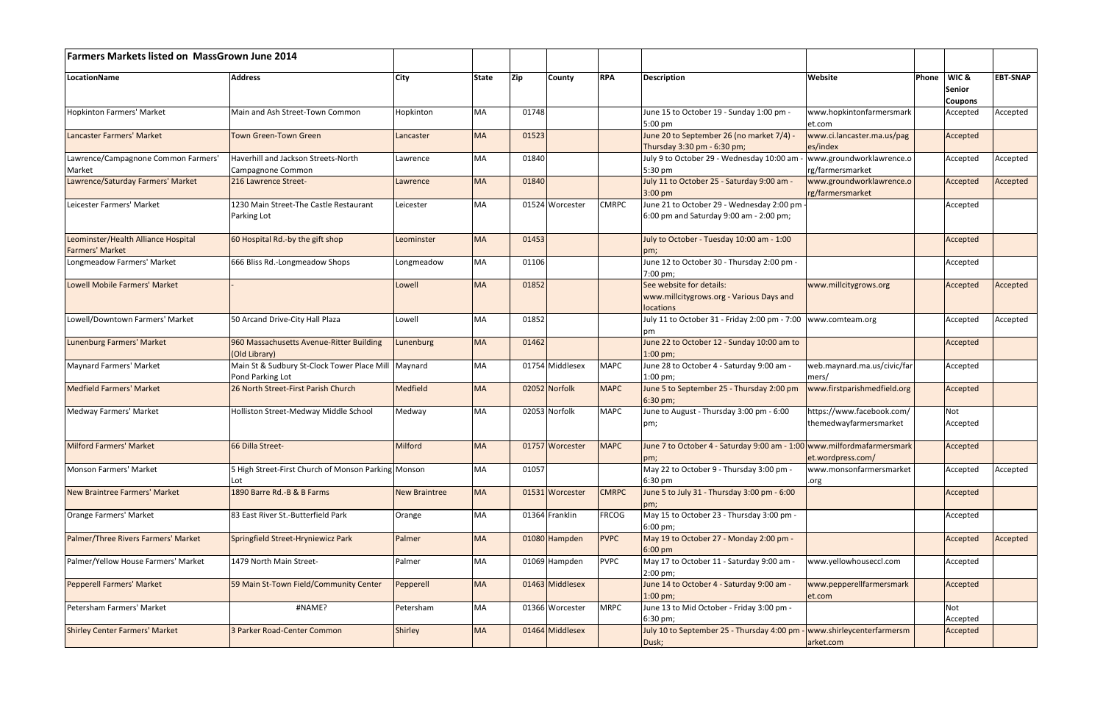| <b>Farmers Markets listed on MassGrown June 2014</b>          |                                                                 |                      |              |       |                 |              |                                                                                      |                                                     |       |                                             |                 |
|---------------------------------------------------------------|-----------------------------------------------------------------|----------------------|--------------|-------|-----------------|--------------|--------------------------------------------------------------------------------------|-----------------------------------------------------|-------|---------------------------------------------|-----------------|
| LocationName                                                  | <b>Address</b>                                                  | City                 | <b>State</b> | Zip   | <b>County</b>   | <b>RPA</b>   | <b>Description</b>                                                                   | Website                                             | Phone | <b>WIC&amp;</b><br><b>Senior</b><br>Coupons | <b>EBT-SNAP</b> |
| <b>Hopkinton Farmers' Market</b>                              | Main and Ash Street-Town Common                                 | Hopkinton            | MA           | 01748 |                 |              | June 15 to October 19 - Sunday 1:00 pm -<br>5:00 pm                                  | www.hopkintonfarmersmark<br>et.com                  |       | Accepted                                    | Accepted        |
| Lancaster Farmers' Market                                     | <b>Town Green-Town Green</b>                                    | Lancaster            | <b>MA</b>    | 01523 |                 |              | June 20 to September 26 (no market 7/4)<br>Thursday 3:30 pm - 6:30 pm;               | www.ci.lancaster.ma.us/pag<br>es/index              |       | Accepted                                    |                 |
| Lawrence/Campagnone Common Farmers'<br>Market                 | Haverhill and Jackson Streets-North<br>Campagnone Common        | Lawrence             | MA           | 01840 |                 |              | July 9 to October 29 - Wednesday 10:00 am<br>5:30 pm                                 | www.groundworklawrence.o<br>rg/farmersmarket        |       | Accepted                                    | Accepted        |
| Lawrence/Saturday Farmers' Market                             | 216 Lawrence Street-                                            | Lawrence             | <b>MA</b>    | 01840 |                 |              | July 11 to October 25 - Saturday 9:00 am -<br>$3:00$ pm                              | www.groundworklawrence.o<br>rg/farmersmarket        |       | Accepted                                    | Accepted        |
| Leicester Farmers' Market                                     | 1230 Main Street-The Castle Restaurant<br>Parking Lot           | Leicester            | MA           |       | 01524 Worcester | <b>CMRPC</b> | June 21 to October 29 - Wednesday 2:00 pm<br>6:00 pm and Saturday 9:00 am - 2:00 pm; |                                                     |       | Accepted                                    |                 |
| Leominster/Health Alliance Hospital<br><b>Farmers' Market</b> | 60 Hospital Rd.-by the gift shop                                | Leominster           | <b>MA</b>    | 01453 |                 |              | July to October - Tuesday 10:00 am - 1:00                                            |                                                     |       | Accepted                                    |                 |
| Longmeadow Farmers' Market                                    | 666 Bliss Rd.-Longmeadow Shops                                  | Longmeadow           | MA           | 01106 |                 |              | June 12 to October 30 - Thursday 2:00 pm -<br>7:00 pm;                               |                                                     |       | Accepted                                    |                 |
| <b>Lowell Mobile Farmers' Market</b>                          |                                                                 | Lowell               | <b>MA</b>    | 01852 |                 |              | See website for details:<br>www.millcitygrows.org - Various Days and<br>locations    | www.millcitygrows.org                               |       | Accepted                                    | Accepted        |
| Lowell/Downtown Farmers' Market                               | 50 Arcand Drive-City Hall Plaza                                 | Lowell               | MA           | 01852 |                 |              | July 11 to October 31 - Friday 2:00 pm - 7:00   www.comteam.org<br>om                |                                                     |       | Accepted                                    | Accepted        |
| Lunenburg Farmers' Market                                     | 960 Massachusetts Avenue-Ritter Building<br>(Old Library)       | unenburg             | <b>MA</b>    | 01462 |                 |              | June 22 to October 12 - Sunday 10:00 am to<br>$1:00$ pm;                             |                                                     |       | Accepted                                    |                 |
| Maynard Farmers' Market                                       | Main St & Sudbury St-Clock Tower Place Mill<br>Pond Parking Lot | Maynard              | MA           |       | 01754 Middlesex | <b>MAPC</b>  | June 28 to October 4 - Saturday 9:00 am -<br>$1:00 \text{ pm}$ ;                     | web.maynard.ma.us/civic/far<br>mers/                |       | Accepted                                    |                 |
| <b>Medfield Farmers' Market</b>                               | 26 North Street-First Parish Church                             | Medfield             | <b>MA</b>    |       | 02052 Norfolk   | <b>MAPC</b>  | June 5 to September 25 - Thursday 2:00 pm<br>$6:30 \text{ pm}$ ;                     | www.firstparishmedfield.org                         |       | Accepted                                    |                 |
| Medway Farmers' Market                                        | Holliston Street-Medway Middle School                           | Medway               | MA           |       | 02053 Norfolk   | <b>MAPC</b>  | June to August - Thursday 3:00 pm - 6:00<br>pm;                                      | https://www.facebook.com/<br>themedwayfarmersmarket |       | Not<br>Accepted                             |                 |
| <b>Milford Farmers' Market</b>                                | 66 Dilla Street-                                                | Milford              | <b>IMA</b>   |       | 01757 Worcester | <b>MAPC</b>  | June 7 to October 4 - Saturday 9:00 am - 1:00 www.milfordmafarmersmark<br>pm;        | et.wordpress.com/                                   |       | Accepted                                    |                 |
| Monson Farmers' Market                                        | 5 High Street-First Church of Monson Parking Monson<br>Lot      |                      | MA           | 01057 |                 |              | May 22 to October 9 - Thursday 3:00 pm -<br>6:30 pm                                  | www.monsonfarmersmarket<br>.org                     |       | Accepted                                    | Accepted        |
| <b>New Braintree Farmers' Market</b>                          | 1890 Barre Rd.-B & B Farms                                      | <b>New Braintree</b> | <b>MA</b>    |       | 01531 Worcester | <b>CMRPC</b> | June 5 to July 31 - Thursday 3:00 pm - 6:00                                          |                                                     |       | Accepted                                    |                 |
| Orange Farmers' Market                                        | 83 East River St.-Butterfield Park                              | Orange               | MA           |       | 01364 Franklin  | <b>FRCOG</b> | May 15 to October 23 - Thursday 3:00 pm -<br>$6:00 \text{ pm}$ ;                     |                                                     |       | Accepted                                    |                 |
| Palmer/Three Rivers Farmers' Market                           | Springfield Street-Hryniewicz Park                              | Palmer               | <b>MA</b>    |       | 01080 Hampden   | <b>PVPC</b>  | May 19 to October 27 - Monday 2:00 pm -<br>$6:00$ pm                                 |                                                     |       | Accepted                                    | Accepted        |
| Palmer/Yellow House Farmers' Market                           | 1479 North Main Street-                                         | Palmer               | MA           |       | 01069 Hampden   | <b>PVPC</b>  | May 17 to October 11 - Saturday 9:00 am -<br>2:00 pm;                                | www.yellowhouseccl.com                              |       | Accepted                                    |                 |
| <b>Pepperell Farmers' Market</b>                              | 59 Main St-Town Field/Community Center                          | Pepperell            | <b>MA</b>    |       | 01463 Middlesex |              | June 14 to October 4 - Saturday 9:00 am -<br>$1:00 \text{ pm}$ ;                     | www.pepperellfarmersmark<br>et.com                  |       | Accepted                                    |                 |
| Petersham Farmers' Market                                     | #NAME?                                                          | Petersham            | MA           |       | 01366 Worcester | <b>MRPC</b>  | June 13 to Mid October - Friday 3:00 pm -<br>6:30 pm;                                |                                                     |       | <b>Not</b><br>Accepted                      |                 |
| <b>Shirley Center Farmers' Market</b>                         | 3 Parker Road-Center Common                                     | <b>Shirley</b>       | <b>MA</b>    |       | 01464 Middlesex |              | July 10 to September 25 - Thursday 4:00 pm<br>Dusk;                                  | - www.shirleycenterfarmersm<br>arket.com            |       | Accepted                                    |                 |